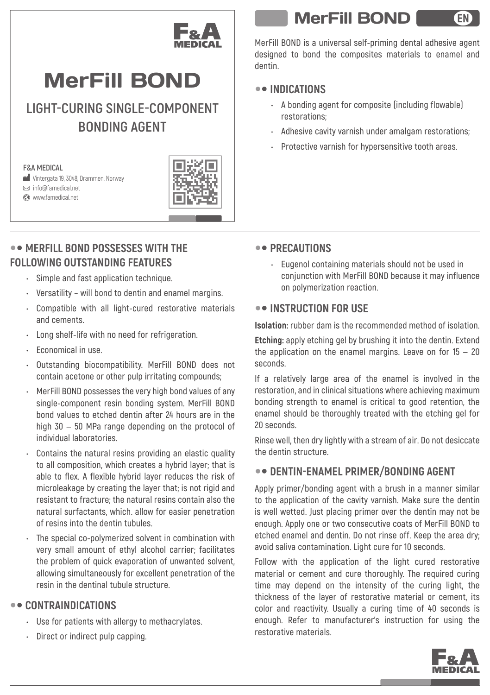

# MerFill BOND

**LIGHT-CURING SINGLE-COMPONENT BONDING AGENT**

#### **F&A MEDICAL**

 Vintergata 19, 3048, Drammen, Norway info@famedical.net

www.famedical.net



# **MERFILL BOND POSSESSES WITH THE FOLLOWING OUTSTANDING FEATURES**

- **Simple and fast application technique.**
- **Versatility will bond to dentin and enamel margins.**
- **Compatible with all light-cured restorative materials and cements.**
- **Long shelf-life with no need for refrigeration.**
- **Economical in use.**
- **Outstanding biocompatibility. MerFill BOND does not contain acetone or other pulp irritating compounds;**
- **MerFill BOND possesses the very high bond values of any single-component resin bonding system. MerFill BOND bond values to etched dentin after 24 hours are in the high 30 — 50 MPa range depending on the protocol of individual laboratories.**
- **Contains the natural resins providing an elastic quality to all composition, which creates a hybrid layer; that is able to flex. A flexible hybrid layer reduces the risk of microleakage by creating the layer that; is not rigid and resistant to fracture; the natural resins contain also the natural surfactants, which. allow for easier penetration of resins into the dentin tubules.**
- **The special co-polymerized solvent in combination with very small amount of ethyl alcohol carrier; facilitates the problem of quick evaporation of unwanted solvent, allowing simultaneously for excellent penetration of the resin in the dentinal tubule structure.**

## **CONTRAINDICATIONS**

- **Use for patients with allergy to methacrylates.**
- **Direct or indirect pulp capping.**

# MerFill BOND

EN

**MerFill BOND is a universal self-priming dental adhesive agent designed to bond the composites materials to enamel and dentin.**

# **INDICATIONS**

- **A bonding agent for composite (including flowable) restorations;**
- **Adhesive cavity varnish under amalgam restorations;**
- **Protective varnish for hypersensitive tooth areas.**

# **PRECAUTIONS**

**• Eugenol containing materials should not be used in conjunction with MerFill BOND because it may influence on polymerization reaction.**

## **INSTRUCTION FOR USE**

**Isolation: rubber dam is the recommended method of isolation.**

**Etching: аpply etching gel by brushing it into the dentin. Extend the application on the enamel margins. Leave on for 15 — 20 seconds.**

**If a relatively large area of the enamel is involved in the restoration, and in clinical situations where achieving maximum bonding strength to enamel is critical to good retention, the enamel should be thoroughly treated with the etching gel for 20 seconds.**

**Rinse well, then dry lightly with a stream of air. Do not desiccate the dentin structure.**

## **DENTIN-ENAMEL PRIMER/BONDING AGENT**

**Apply primer/bonding agent with a brush in a manner similar to the application of the cavity varnish. Make sure the dentin is well wetted. Just placing primer over the dentin may not be enough. Apply one or two consecutive coats of MerFill BOND to etched enamel and dentin. Do not rinse off. Keep the area dry; avoid saliva contamination. Light cure for 10 seconds.**

**Follow with the application of the light cured restorative material or cement and cure thoroughly. The required curing time may depend on the intensity of the curing light, the thickness of the layer of restorative material or cement, its color and reactivity. Usually a curing time of 40 seconds is enough. Refer to manufacturer's instruction for using the restorative materials.**